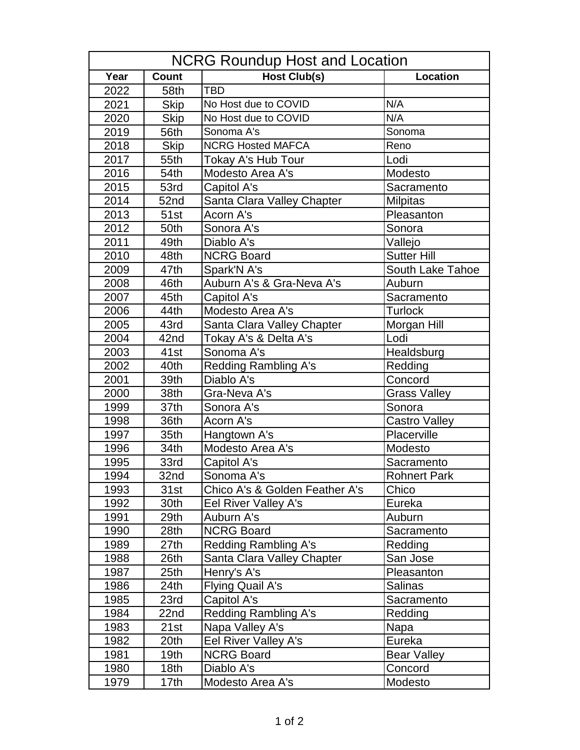| NCRG Roundup Host and Location |                  |                                |                      |  |
|--------------------------------|------------------|--------------------------------|----------------------|--|
| Year                           | <b>Count</b>     | <b>Host Club(s)</b>            | Location             |  |
| 2022                           | 58th             | <b>TBD</b>                     |                      |  |
| 2021                           | <b>Skip</b>      | No Host due to COVID           | N/A                  |  |
| 2020                           | <b>Skip</b>      | No Host due to COVID           | N/A                  |  |
| 2019                           | 56th             | Sonoma A's                     | Sonoma               |  |
| 2018                           | <b>Skip</b>      | <b>NCRG Hosted MAFCA</b>       | Reno                 |  |
| 2017                           | 55th             | Tokay A's Hub Tour             | Lodi                 |  |
| 2016                           | 54th             | Modesto Area A's               | Modesto              |  |
| 2015                           | 53rd             | Capitol A's                    | Sacramento           |  |
| 2014                           | 52nd             | Santa Clara Valley Chapter     | <b>Milpitas</b>      |  |
| 2013                           | 51st             | Acorn A's                      | Pleasanton           |  |
| 2012                           | 50th             | Sonora A's                     | Sonora               |  |
| 2011                           | 49th             | Diablo A's                     | Vallejo              |  |
| 2010                           | 48th             | <b>NCRG Board</b>              | <b>Sutter Hill</b>   |  |
| 2009                           | 47th             | Spark'N A's                    | South Lake Tahoe     |  |
| 2008                           | 46th             | Auburn A's & Gra-Neva A's      | Auburn               |  |
| 2007                           | 45th             | Capitol A's                    | Sacramento           |  |
| 2006                           | 44th             | Modesto Area A's               | <b>Turlock</b>       |  |
| 2005                           | 43rd             | Santa Clara Valley Chapter     | Morgan Hill          |  |
| 2004                           | 42nd             | Tokay A's & Delta A's          | Lodi                 |  |
| 2003                           | 41st             | Sonoma A's                     | Healdsburg           |  |
| 2002                           | 40th             | <b>Redding Rambling A's</b>    | Redding              |  |
| 2001                           | 39th             | Diablo A's                     | Concord              |  |
| 2000                           | 38th             | Gra-Neva A's                   | <b>Grass Valley</b>  |  |
| 1999                           | 37th             | Sonora A's                     | Sonora               |  |
| 1998                           | 36th             | Acorn A's                      | <b>Castro Valley</b> |  |
| 1997                           | 35th             | Hangtown A's                   | Placerville          |  |
| 1996                           | 34th             | Modesto Area A's               | Modesto              |  |
| 1995                           | 33rd             | Capitol A's                    | Sacramento           |  |
| 1994                           | 32nd             | Sonoma A's                     | <b>Rohnert Park</b>  |  |
| 1993                           | 31st             | Chico A's & Golden Feather A's | Chico                |  |
| 1992                           | 30th             | Eel River Valley A's           | Eureka               |  |
| 1991                           | 29th             | Auburn A's                     | Auburn               |  |
| 1990                           | 28th             | <b>NCRG Board</b>              | Sacramento           |  |
| 1989                           | 27th             | <b>Redding Rambling A's</b>    | Redding              |  |
| 1988                           | 26th             | Santa Clara Valley Chapter     | San Jose             |  |
| 1987                           | 25 <sub>th</sub> | Henry's A's                    | Pleasanton           |  |
| 1986                           | 24th             | Flying Quail A's               | <b>Salinas</b>       |  |
| 1985                           | 23rd             | Capitol A's                    | Sacramento           |  |
| 1984                           | 22nd             | Redding Rambling A's           | Redding              |  |
| 1983                           | 21st             | Napa Valley A's                | Napa                 |  |
| 1982                           | 20th             | Eel River Valley A's           | Eureka               |  |
| 1981                           | 19th             | <b>NCRG Board</b>              | <b>Bear Valley</b>   |  |
| 1980                           | 18th             | Diablo A's                     | Concord              |  |
| 1979                           | 17th             | Modesto Area A's               | Modesto              |  |